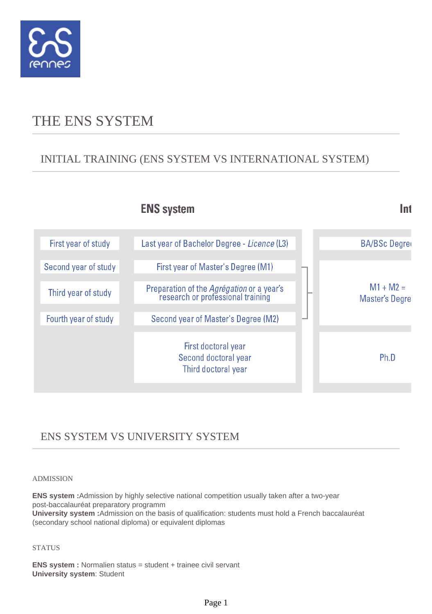

# THE ENS SYSTEM

### INITIAL TRAINING (ENS SYSTEM VS INTERNATIONAL SYSTEM)

### **ENS system**

First year of study Last year of Bachelor Degree - Licence (L3) **BA/BSc Degree** Second year of study First year of Master's Degree (M1)  $M1 + M2 =$ Preparation of the Agrégation or a year's Third year of study research or professional training **Master's Degre** Fourth year of study Second year of Master's Degree (M2) First doctoral year Second doctoral year Ph.D Third doctoral year

Int

### ENS SYSTEM VS UNIVERSITY SYSTEM

#### ADMISSION

**ENS system :**Admission by highly selective national competition usually taken after a two-year post-baccalauréat preparatory programm

**University system :**Admission on the basis of qualification: students must hold a French baccalauréat (secondary school national diploma) or equivalent diplomas

#### **STATUS**

**ENS system :** Normalien status = student + trainee civil servant **University system**: Student